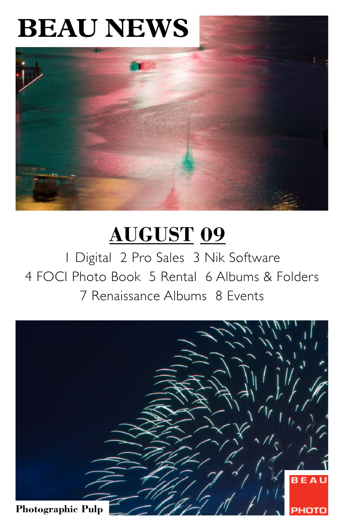# **BEAU NEWS**



# **AUGUST 09**

1 Digital 2 Pro Sales 3 Nik Software 4 FOCI Photo Book 5 Rental 6 Albums & Folders 7 Renaissance Albums 8 Events

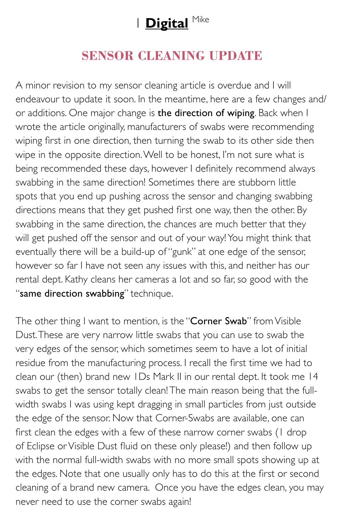# 1 **Digital** Mike

### **SENSOR CLEANING UPDATE**

A minor revision to my sensor cleaning article is overdue and I will endeavour to update it soon. In the meantime, here are a few changes and/ or additions. One major change is the direction of wiping. Back when I wrote the article originally, manufacturers of swabs were recommending wiping first in one direction, then turning the swab to its other side then wipe in the opposite direction. Well to be honest, I'm not sure what is being recommended these days, however I definitely recommend always swabbing in the same direction! Sometimes there are stubborn little spots that you end up pushing across the sensor and changing swabbing directions means that they get pushed first one way, then the other. By swabbing in the same direction, the chances are much better that they will get pushed off the sensor and out of your way! You might think that eventually there will be a build-up of "gunk" at one edge of the sensor, however so far I have not seen any issues with this, and neither has our rental dept. Kathy cleans her cameras a lot and so far, so good with the "same direction swabbing" technique.

The other thing I want to mention, is the "Corner Swab" from Visible Dust. These are very narrow little swabs that you can use to swab the very edges of the sensor, which sometimes seem to have a lot of initial residue from the manufacturing process. I recall the first time we had to clean our (then) brand new 1Ds Mark II in our rental dept. It took me 14 swabs to get the sensor totally clean! The main reason being that the fullwidth swabs I was using kept dragging in small particles from just outside the edge of the sensor. Now that Corner-Swabs are available, one can first clean the edges with a few of these narrow corner swabs (1 drop of Eclipse or Visible Dust fluid on these only please!) and then follow up with the normal full-width swabs with no more small spots showing up at the edges. Note that one usually only has to do this at the first or second cleaning of a brand new camera. Once you have the edges clean, you may never need to use the corner swabs again!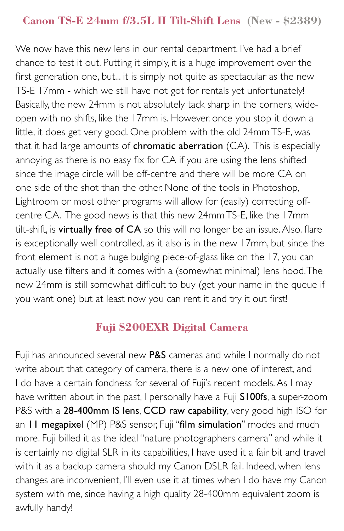#### **Canon TS-E 24mm f/3.5L II Tilt-Shift Lens (New - \$2389)**

We now have this new lens in our rental department. I've had a brief chance to test it out. Putting it simply, it is a huge improvement over the first generation one, but... it is simply not quite as spectacular as the new TS-E 17mm - which we still have not got for rentals yet unfortunately! Basically, the new 24mm is not absolutely tack sharp in the corners, wideopen with no shifts, like the 17mm is. However, once you stop it down a little, it does get very good. One problem with the old 24mm TS-E, was that it had large amounts of **chromatic aberration** (CA). This is especially annoying as there is no easy fix for CA if you are using the lens shifted since the image circle will be off-centre and there will be more CA on one side of the shot than the other. None of the tools in Photoshop, Lightroom or most other programs will allow for (easily) correcting offcentre CA. The good news is that this new 24mm TS-E, like the 17mm tilt-shift, is virtually free of CA so this will no longer be an issue. Also, flare is exceptionally well controlled, as it also is in the new 17mm, but since the front element is not a huge bulging piece-of-glass like on the 17, you can actually use filters and it comes with a (somewhat minimal) lens hood. The new 24mm is still somewhat difficult to buy (get your name in the queue if you want one) but at least now you can rent it and try it out first!

#### **Fuji S200EXR Digital Camera**

Fuji has announced several new P&S cameras and while I normally do not write about that category of camera, there is a new one of interest, and I do have a certain fondness for several of Fuji's recent models. As I may have written about in the past, I personally have a Fuji S100fs, a super-zoom P&S with a 28-400mm IS lens, CCD raw capability, very good high ISO for an II megapixel (MP) P&S sensor, Fuji "film simulation" modes and much more. Fuji billed it as the ideal "nature photographers camera" and while it is certainly no digital SLR in its capabilities, I have used it a fair bit and travel with it as a backup camera should my Canon DSLR fail. Indeed, when lens changes are inconvenient, I'll even use it at times when I do have my Canon system with me, since having a high quality 28-400mm equivalent zoom is awfully handy!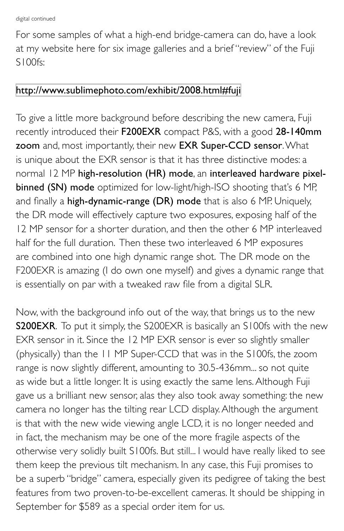For some samples of what a high-end bridge-camera can do, have a look at my website here for six image galleries and a brief "review" of the Fuji S100fs:

#### <http://www.sublimephoto.com/exhibit/2008.html#fuji>

To give a little more background before describing the new camera, Fuji recently introduced their F200EXR compact P&S, with a good 28-140mm zoom and, most importantly, their new EXR Super-CCD sensor. What is unique about the EXR sensor is that it has three distinctive modes: a normal 12 MP high-resolution (HR) mode, an interleaved hardware pixelbinned (SN) mode optimized for low-light/high-ISO shooting that's 6 MP, and finally a high-dynamic-range (DR) mode that is also 6 MP. Uniquely, the DR mode will effectively capture two exposures, exposing half of the 12 MP sensor for a shorter duration, and then the other 6 MP interleaved half for the full duration. Then these two interleaved 6 MP exposures are combined into one high dynamic range shot. The DR mode on the F200EXR is amazing (I do own one myself) and gives a dynamic range that is essentially on par with a tweaked raw file from a digital SLR.

Now, with the background info out of the way, that brings us to the new S200EXR. To put it simply, the S200EXR is basically an S100fs with the new EXR sensor in it. Since the 12 MP EXR sensor is ever so slightly smaller (physically) than the 11 MP Super-CCD that was in the S100fs, the zoom range is now slightly different, amounting to 30.5-436mm... so not quite as wide but a little longer. It is using exactly the same lens. Although Fuji gave us a brilliant new sensor, alas they also took away something: the new camera no longer has the tilting rear LCD display. Although the argument is that with the new wide viewing angle LCD, it is no longer needed and in fact, the mechanism may be one of the more fragile aspects of the otherwise very solidly built S100fs. But still... I would have really liked to see them keep the previous tilt mechanism. In any case, this Fuji promises to be a superb "bridge" camera, especially given its pedigree of taking the best features from two proven-to-be-excellent cameras. It should be shipping in September for \$589 as a special order item for us.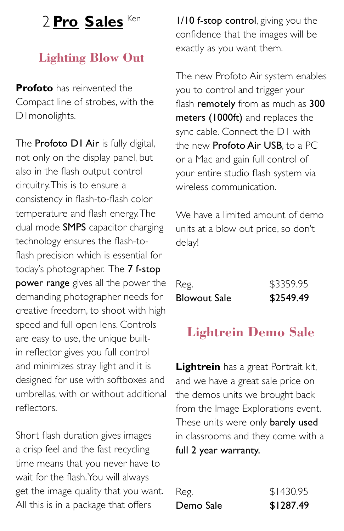### 2 **Pro Sales** Ken

### **Lighting Blow Out**

**Profoto** has reinvented the Compact line of strobes, with the D1monolights.

The **Profoto D1 Air** is fully digital, not only on the display panel, but also in the flash output control circuitry. This is to ensure a consistency in flash-to-flash color temperature and flash energy. The dual mode SMPS capacitor charging technology ensures the flash-toflash precision which is essential for today's photographer. The 7 f-stop power range gives all the power the demanding photographer needs for creative freedom, to shoot with high speed and full open lens. Controls are easy to use, the unique builtin reflector gives you full control and minimizes stray light and it is designed for use with softboxes and umbrellas, with or without additional reflectors.

Short flash duration gives images a crisp feel and the fast recycling time means that you never have to wait for the flash. You will always get the image quality that you want. All this is in a package that offers

**1/10 f-stop control**, giving you the confidence that the images will be exactly as you want them.

The new Profoto Air system enables you to control and trigger your flash remotely from as much as 300 meters (1000ft) and replaces the sync cable. Connect the D1 with the new **Profoto Air USB**, to a PC or a Mac and gain full control of your entire studio flash system via wireless communication.

We have a limited amount of demo units at a blow out price, so don't delay!

| <b>Blowout Sale</b> | \$2549.49 |
|---------------------|-----------|
| Reg.                | \$3359.95 |

### **Lightrein Demo Sale**

**Lightrein** has a great Portrait kit, and we have a great sale price on the demos units we brought back from the Image Explorations event. These units were only barely used in classrooms and they come with a full 2 year warranty.

| Demo Sale | \$1287.49 |
|-----------|-----------|
| Reg.      | \$1430.95 |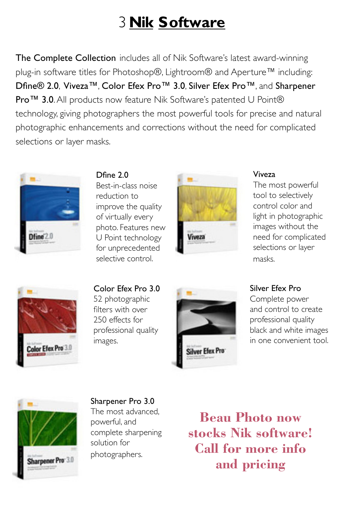# 3 **Nik Software**

The Complete Collection includes all of Nik Software's latest award-winning plug-in software titles for Photoshop®, Lightroom® and Aperture™ including: Dfine® 2.0, Viveza™, Color Efex Pro™ 3.0, Silver Efex Pro™, and Sharpener Pro™ 3.0. All products now feature Nik Software's patented U Point® technology, giving photographers the most powerful tools for precise and natural photographic enhancements and corrections without the need for complicated selections or layer masks.



Dfine 2.0 Best-in-class noise reduction to improve the quality of virtually every photo. Features new U Point technology for unprecedented selective control.



#### Viveza

The most powerful tool to selectively control color and light in photographic images without the need for complicated selections or layer masks.



Color Efex Pro 3.0 52 photographic filters with over 250 effects for professional quality images.



#### Silver Efex Pro

Complete power and control to create professional quality black and white images in one convenient tool.



Sharpener Pro 3.0 The most advanced, powerful, and complete sharpening solution for photographers.

**Beau Photo now stocks Nik software! Call for more info and pricing**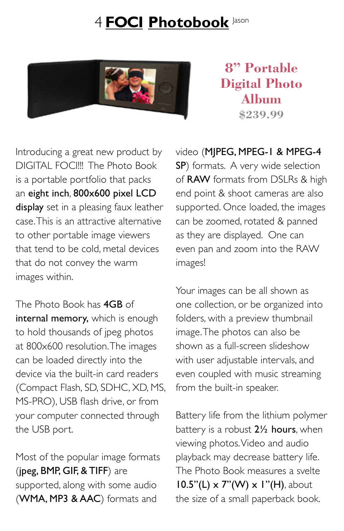# 4 **FOCI Photobook** Jason



**8" Portable Digital Photo Album \$239.99**

Introducing a great new product by DIGITAL FOCI!!! The Photo Book is a portable portfolio that packs an eight inch, 800x600 pixel LCD display set in a pleasing faux leather case. This is an attractive alternative to other portable image viewers that tend to be cold, metal devices that do not convey the warm images within.

The Photo Book has 4GB of internal memory, which is enough to hold thousands of jpeg photos at 800x600 resolution. The images can be loaded directly into the device via the built-in card readers (Compact Flash, SD, SDHC, XD, MS, MS-PRO), USB flash drive, or from your computer connected through the USB port.

Most of the popular image formats (jpeg, BMP, GIF, & TIFF) are supported, along with some audio (WMA, MP3 & AAC) formats and

video (MJPEG, MPEG-1 & MPEG-4 SP) formats. A very wide selection of RAW formats from DSLRs & high end point & shoot cameras are also supported. Once loaded, the images can be zoomed, rotated & panned as they are displayed. One can even pan and zoom into the RAW images!

Your images can be all shown as one collection, or be organized into folders, with a preview thumbnail image. The photos can also be shown as a full-screen slideshow with user adjustable intervals, and even coupled with music streaming from the built-in speaker.

Battery life from the lithium polymer battery is a robust 2<sup>1/2</sup> hours, when viewing photos. Video and audio playback may decrease battery life. The Photo Book measures a svelte  $10.5"$ (L) x 7"(W) x 1"(H), about the size of a small paperback book.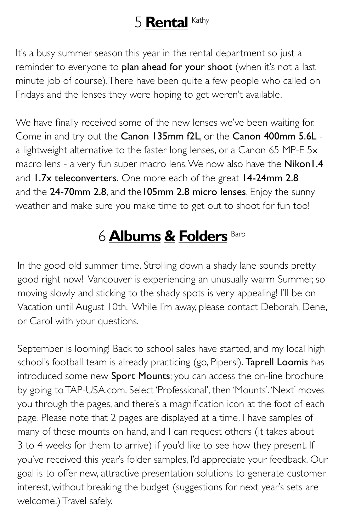## 5 **Rental** Kathy

It's a busy summer season this year in the rental department so just a reminder to everyone to plan ahead for your shoot (when it's not a last minute job of course). There have been quite a few people who called on Fridays and the lenses they were hoping to get weren't available.

We have finally received some of the new lenses we've been waiting for. Come in and try out the Canon 135mm f2L, or the Canon 400mm 5.6L a lightweight alternative to the faster long lenses, or a Canon 65 MP-E 5x macro lens - a very fun super macro lens. We now also have the Nikon I.4 and 1.7x teleconverters. One more each of the great 14-24mm 2.8 and the 24-70mm 2.8, and the 105mm 2.8 micro lenses. Enjoy the sunny weather and make sure you make time to get out to shoot for fun too!

# 6 **Albums & Folders** Barb

In the good old summer time. Strolling down a shady lane sounds pretty good right now! Vancouver is experiencing an unusually warm Summer, so moving slowly and sticking to the shady spots is very appealing! I'll be on Vacation until August 10th. While I'm away, please contact Deborah, Dene, or Carol with your questions.

September is looming! Back to school sales have started, and my local high school's football team is already practicing (go, Pipers!). Taprell Loomis has introduced some new Sport Mounts; you can access the on-line brochure by going to TAP-USA.com. Select 'Professional', then 'Mounts'. 'Next' moves you through the pages, and there's a magnification icon at the foot of each page. Please note that 2 pages are displayed at a time. I have samples of many of these mounts on hand, and I can request others (it takes about 3 to 4 weeks for them to arrive) if you'd like to see how they present. If you've received this year's folder samples, I'd appreciate your feedback. Our goal is to offer new, attractive presentation solutions to generate customer interest, without breaking the budget (suggestions for next year's sets are welcome.) Travel safely.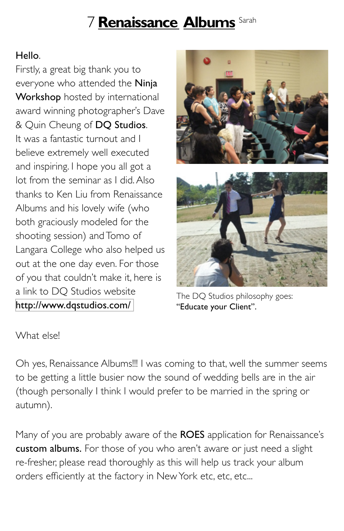# 7 **Renaissance Albums** Sarah

### Hello.

Firstly, a great big thank you to everyone who attended the Ninja Workshop hosted by international award winning photographer's Dave & Quin Cheung of DQ Studios. It was a fantastic turnout and I believe extremely well executed and inspiring. I hope you all got a lot from the seminar as I did. Also thanks to Ken Liu from Renaissance Albums and his lovely wife (who both graciously modeled for the shooting session) and Tomo of Langara College who also helped us out at the one day even. For those of you that couldn't make it, here is a link to DQ Studios website <http://www.dqstudios.com/>



The DQ Studios philosophy goes: "Educate your Client".

What else!

Oh yes, Renaissance Albums!!! I was coming to that, well the summer seems to be getting a little busier now the sound of wedding bells are in the air (though personally I think I would prefer to be married in the spring or autumn).

Many of you are probably aware of the ROES application for Renaissance's custom albums. For those of you who aren't aware or just need a slight re-fresher, please read thoroughly as this will help us track your album orders efficiently at the factory in New York etc, etc, etc...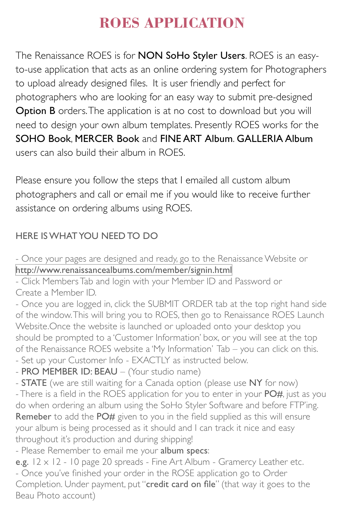### **ROES APPLICATION**

The Renaissance ROES is for **NON SoHo Styler Users**. ROES is an easyto-use application that acts as an online ordering system for Photographers to upload already designed files. It is user friendly and perfect for photographers who are looking for an easy way to submit pre-designed Option B orders. The application is at no cost to download but you will need to design your own album templates. Presently ROES works for the SOHO Book, MERCER Book and FINE ART Album. GALLERIA Album users can also build their album in ROES.

Please ensure you follow the steps that I emailed all custom album photographers and call or email me if you would like to receive further assistance on ordering albums using ROES.

#### HERE IS WHAT YOU NEED TO DO

- Once your pages are designed and ready, go to the Renaissance Website or <http://www.renaissancealbums.com/member/signin.html>

- Click Members Tab and login with your Member ID and Password or Create a Member ID.

- Once you are logged in, click the SUBMIT ORDER tab at the top right hand side of the window. This will bring you to ROES, then go to Renaissance ROES Launch Website.Once the website is launched or uploaded onto your desktop you should be prompted to a 'Customer Information' box, or you will see at the top of the Renaissance ROES website a 'My Information' Tab – you can click on this.

- Set up your Customer Info EXACTLY as instructed below.
- PRO MEMBER ID: BEAU (Your studio name)
- **STATE** (we are still waiting for a Canada option (please use NY for now)

- There is a field in the ROES application for you to enter in your PO#, just as you do when ordering an album using the SoHo Styler Software and before FTP'ing. Remeber to add the PO# given to you in the field supplied as this will ensure your album is being processed as it should and I can track it nice and easy throughout it's production and during shipping!

- Please Remember to email me your album specs:

e.g.  $12 \times 12$  - 10 page 20 spreads - Fine Art Album - Gramercy Leather etc. - Once you've finished your order in the ROSE application go to Order Completion. Under payment, put "credit card on file" (that way it goes to the Beau Photo account)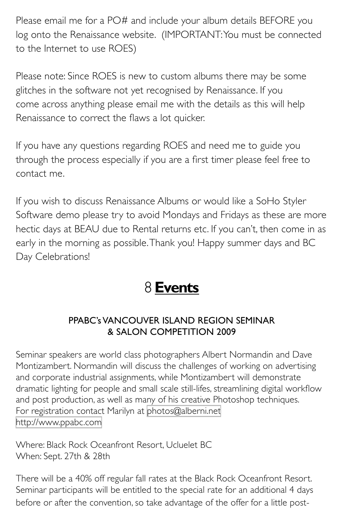Please email me for a PO# and include your album details BEFORE you log onto the Renaissance website. (IMPORTANT: You must be connected to the Internet to use ROES)

Please note: Since ROES is new to custom albums there may be some glitches in the software not yet recognised by Renaissance. If you come across anything please email me with the details as this will help Renaissance to correct the flaws a lot quicker.

If you have any questions regarding ROES and need me to guide you through the process especially if you are a first timer please feel free to contact me.

If you wish to discuss Renaissance Albums or would like a SoHo Styler Software demo please try to avoid Mondays and Fridays as these are more hectic days at BEAU due to Rental returns etc. If you can't, then come in as early in the morning as possible. Thank you! Happy summer days and BC Day Celebrations!

## 8 **Events**

#### PPABC's VANCOUVER ISLAND REGION SEMINAR & SALON COMPETITION 2009

Seminar speakers are world class photographers Albert Normandin and Dave Montizambert. Normandin will discuss the challenges of working on advertising and corporate industrial assignments, while Montizambert will demonstrate dramatic lighting for people and small scale still-lifes, streamlining digital workflow and post production, as well as many of his creative Photoshop techniques. For registration contact Marilyn at [photos@alberni.net](mailto:photos@alberni.net) <http://www.ppabc.com>

Where: Black Rock Oceanfront Resort, Ucluelet BC When: Sept. 27th & 28th

There will be a 40% off regular fall rates at the Black Rock Oceanfront Resort. Seminar participants will be entitled to the special rate for an additional 4 days before or after the convention, so take advantage of the offer for a little post